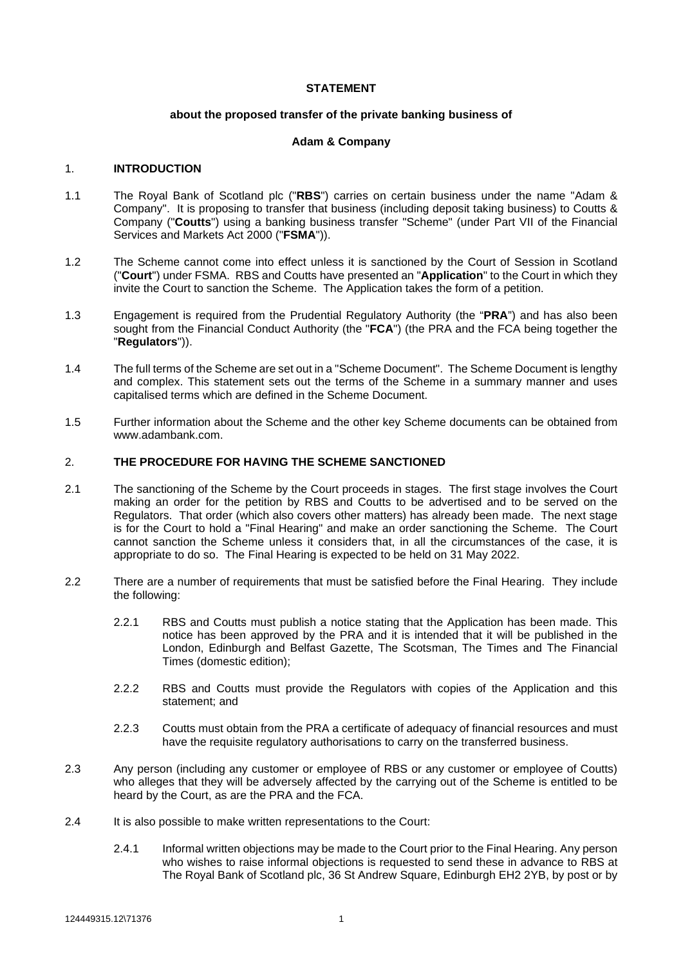#### **STATEMENT**

#### **about the proposed transfer of the private banking business of**

#### **Adam & Company**

#### 1. **INTRODUCTION**

- 1.1 The Royal Bank of Scotland plc ("**RBS**") carries on certain business under the name "Adam & Company". It is proposing to transfer that business (including deposit taking business) to Coutts & Company ("**Coutts**") using a banking business transfer "Scheme" (under Part VII of the Financial Services and Markets Act 2000 ("**FSMA**")).
- 1.2 The Scheme cannot come into effect unless it is sanctioned by the Court of Session in Scotland ("**Court**") under FSMA. RBS and Coutts have presented an "**Application**" to the Court in which they invite the Court to sanction the Scheme. The Application takes the form of a petition.
- 1.3 Engagement is required from the Prudential Regulatory Authority (the "**PRA**") and has also been sought from the Financial Conduct Authority (the "**FCA**") (the PRA and the FCA being together the "**Regulators**")).
- 1.4 The full terms of the Scheme are set out in a "Scheme Document". The Scheme Document is lengthy and complex. This statement sets out the terms of the Scheme in a summary manner and uses capitalised terms which are defined in the Scheme Document.
- 1.5 Further information about the Scheme and the other key Scheme documents can be obtained from www.adambank.com.

# 2. **THE PROCEDURE FOR HAVING THE SCHEME SANCTIONED**

- 2.1 The sanctioning of the Scheme by the Court proceeds in stages. The first stage involves the Court making an order for the petition by RBS and Coutts to be advertised and to be served on the Regulators. That order (which also covers other matters) has already been made. The next stage is for the Court to hold a "Final Hearing" and make an order sanctioning the Scheme. The Court cannot sanction the Scheme unless it considers that, in all the circumstances of the case, it is appropriate to do so. The Final Hearing is expected to be held on 31 May 2022.
- 2.2 There are a number of requirements that must be satisfied before the Final Hearing. They include the following:
	- 2.2.1 RBS and Coutts must publish a notice stating that the Application has been made. This notice has been approved by the PRA and it is intended that it will be published in the London, Edinburgh and Belfast Gazette, The Scotsman, The Times and The Financial Times (domestic edition);
	- 2.2.2 RBS and Coutts must provide the Regulators with copies of the Application and this statement; and
	- 2.2.3 Coutts must obtain from the PRA a certificate of adequacy of financial resources and must have the requisite regulatory authorisations to carry on the transferred business.
- 2.3 Any person (including any customer or employee of RBS or any customer or employee of Coutts) who alleges that they will be adversely affected by the carrying out of the Scheme is entitled to be heard by the Court, as are the PRA and the FCA.
- 2.4 It is also possible to make written representations to the Court:
	- 2.4.1 Informal written objections may be made to the Court prior to the Final Hearing. Any person who wishes to raise informal objections is requested to send these in advance to RBS at The Royal Bank of Scotland plc, 36 St Andrew Square, Edinburgh EH2 2YB, by post or by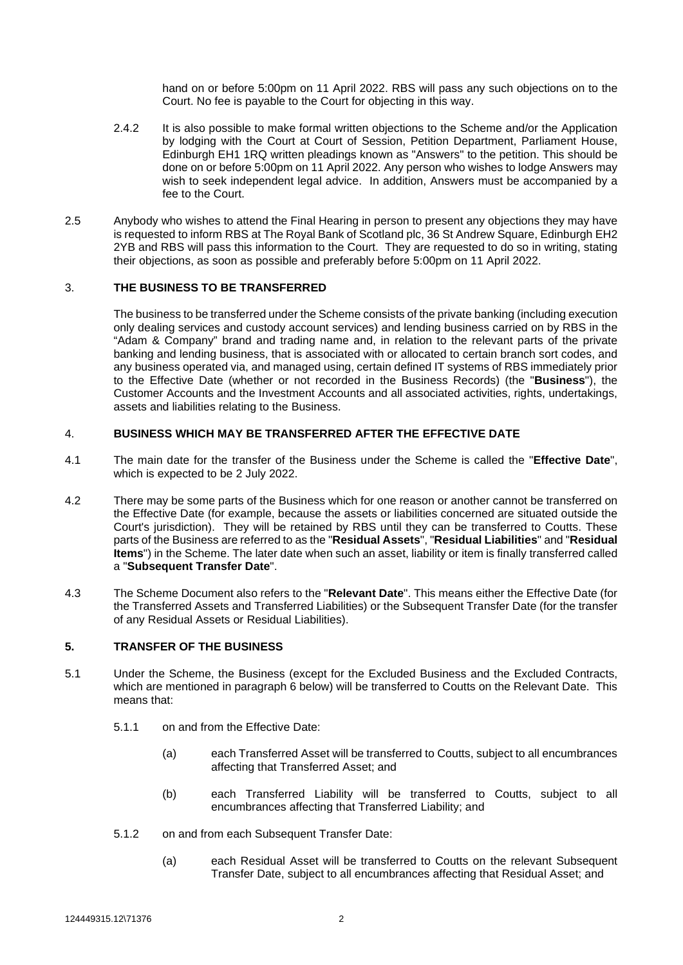hand on or before 5:00pm on 11 April 2022. RBS will pass any such objections on to the Court. No fee is payable to the Court for objecting in this way.

- 2.4.2 It is also possible to make formal written objections to the Scheme and/or the Application by lodging with the Court at Court of Session, Petition Department, Parliament House, Edinburgh EH1 1RQ written pleadings known as "Answers" to the petition. This should be done on or before 5:00pm on 11 April 2022. Any person who wishes to lodge Answers may wish to seek independent legal advice. In addition, Answers must be accompanied by a fee to the Court.
- 2.5 Anybody who wishes to attend the Final Hearing in person to present any objections they may have is requested to inform RBS at The Royal Bank of Scotland plc, 36 St Andrew Square, Edinburgh EH2 2YB and RBS will pass this information to the Court. They are requested to do so in writing, stating their objections, as soon as possible and preferably before 5:00pm on 11 April 2022.

### 3. **THE BUSINESS TO BE TRANSFERRED**

The business to be transferred under the Scheme consists of the private banking (including execution only dealing services and custody account services) and lending business carried on by RBS in the "Adam & Company" brand and trading name and, in relation to the relevant parts of the private banking and lending business, that is associated with or allocated to certain branch sort codes, and any business operated via, and managed using, certain defined IT systems of RBS immediately prior to the Effective Date (whether or not recorded in the Business Records) (the "**Business**"), the Customer Accounts and the Investment Accounts and all associated activities, rights, undertakings, assets and liabilities relating to the Business.

### 4. **BUSINESS WHICH MAY BE TRANSFERRED AFTER THE EFFECTIVE DATE**

- 4.1 The main date for the transfer of the Business under the Scheme is called the "**Effective Date**", which is expected to be 2 July 2022.
- 4.2 There may be some parts of the Business which for one reason or another cannot be transferred on the Effective Date (for example, because the assets or liabilities concerned are situated outside the Court's jurisdiction). They will be retained by RBS until they can be transferred to Coutts. These parts of the Business are referred to as the "**Residual Assets**", "**Residual Liabilities**" and "**Residual Items**") in the Scheme. The later date when such an asset, liability or item is finally transferred called a "**Subsequent Transfer Date**".
- 4.3 The Scheme Document also refers to the "**Relevant Date**". This means either the Effective Date (for the Transferred Assets and Transferred Liabilities) or the Subsequent Transfer Date (for the transfer of any Residual Assets or Residual Liabilities).

### **5. TRANSFER OF THE BUSINESS**

- 5.1 Under the Scheme, the Business (except for the Excluded Business and the Excluded Contracts, which are mentioned in paragraph [6](#page-2-0) below) will be transferred to Coutts on the Relevant Date. This means that:
	- 5.1.1 on and from the Effective Date:
		- (a) each Transferred Asset will be transferred to Coutts, subject to all encumbrances affecting that Transferred Asset; and
		- (b) each Transferred Liability will be transferred to Coutts, subject to all encumbrances affecting that Transferred Liability; and
	- 5.1.2 on and from each Subsequent Transfer Date:
		- (a) each Residual Asset will be transferred to Coutts on the relevant Subsequent Transfer Date, subject to all encumbrances affecting that Residual Asset; and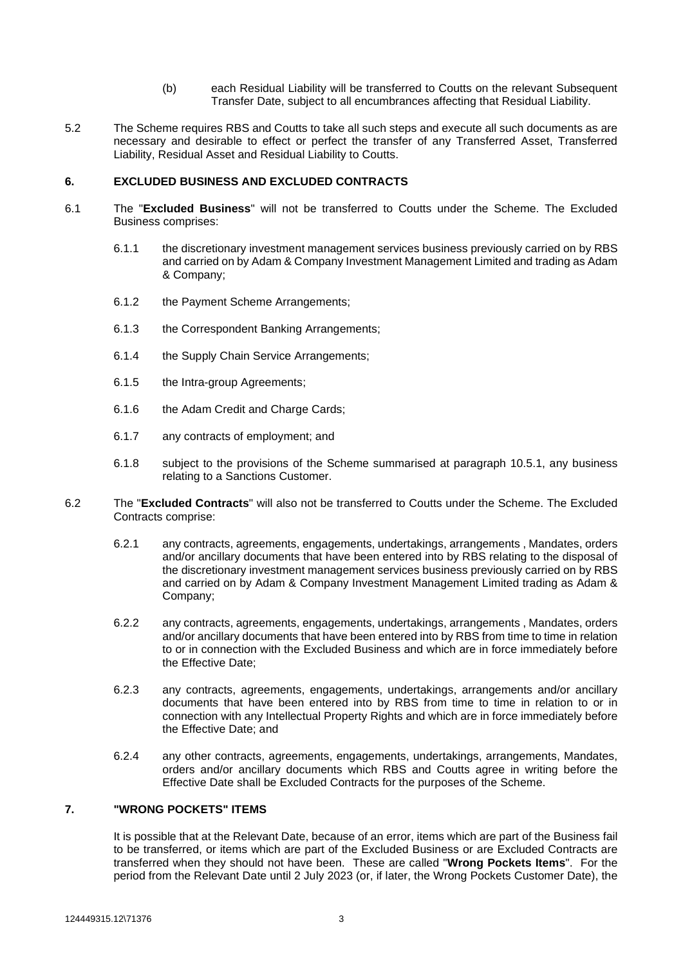- (b) each Residual Liability will be transferred to Coutts on the relevant Subsequent Transfer Date, subject to all encumbrances affecting that Residual Liability.
- 5.2 The Scheme requires RBS and Coutts to take all such steps and execute all such documents as are necessary and desirable to effect or perfect the transfer of any Transferred Asset, Transferred Liability, Residual Asset and Residual Liability to Coutts.

### <span id="page-2-0"></span>**6. EXCLUDED BUSINESS AND EXCLUDED CONTRACTS**

- 6.1 The "**Excluded Business**" will not be transferred to Coutts under the Scheme. The Excluded Business comprises:
	- 6.1.1 the discretionary investment management services business previously carried on by RBS and carried on by Adam & Company Investment Management Limited and trading as Adam & Company;
	- 6.1.2 the Payment Scheme Arrangements;
	- 6.1.3 the Correspondent Banking Arrangements;
	- 6.1.4 the Supply Chain Service Arrangements;
	- 6.1.5 the Intra-group Agreements;
	- 6.1.6 the Adam Credit and Charge Cards;
	- 6.1.7 any contracts of employment; and
	- 6.1.8 subject to the provisions of the Scheme summarised at paragraph [10.5.1,](#page-4-0) any business relating to a Sanctions Customer.
- 6.2 The "**Excluded Contracts**" will also not be transferred to Coutts under the Scheme. The Excluded Contracts comprise:
	- 6.2.1 any contracts, agreements, engagements, undertakings, arrangements , Mandates, orders and/or ancillary documents that have been entered into by RBS relating to the disposal of the discretionary investment management services business previously carried on by RBS and carried on by Adam & Company Investment Management Limited trading as Adam & Company;
	- 6.2.2 any contracts, agreements, engagements, undertakings, arrangements , Mandates, orders and/or ancillary documents that have been entered into by RBS from time to time in relation to or in connection with the Excluded Business and which are in force immediately before the Effective Date;
	- 6.2.3 any contracts, agreements, engagements, undertakings, arrangements and/or ancillary documents that have been entered into by RBS from time to time in relation to or in connection with any Intellectual Property Rights and which are in force immediately before the Effective Date; and
	- 6.2.4 any other contracts, agreements, engagements, undertakings, arrangements, Mandates, orders and/or ancillary documents which RBS and Coutts agree in writing before the Effective Date shall be Excluded Contracts for the purposes of the Scheme.

# **7. "WRONG POCKETS" ITEMS**

It is possible that at the Relevant Date, because of an error, items which are part of the Business fail to be transferred, or items which are part of the Excluded Business or are Excluded Contracts are transferred when they should not have been. These are called "**Wrong Pockets Items**". For the period from the Relevant Date until 2 July 2023 (or, if later, the Wrong Pockets Customer Date), the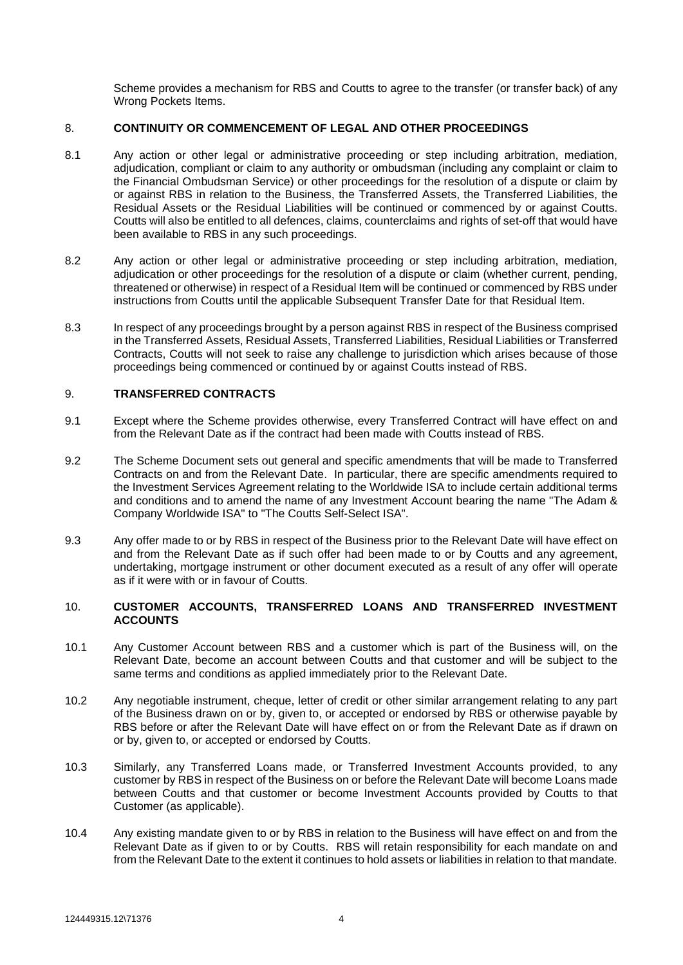Scheme provides a mechanism for RBS and Coutts to agree to the transfer (or transfer back) of any Wrong Pockets Items.

### 8. **CONTINUITY OR COMMENCEMENT OF LEGAL AND OTHER PROCEEDINGS**

- 8.1 Any action or other legal or administrative proceeding or step including arbitration, mediation, adjudication, compliant or claim to any authority or ombudsman (including any complaint or claim to the Financial Ombudsman Service) or other proceedings for the resolution of a dispute or claim by or against RBS in relation to the Business, the Transferred Assets, the Transferred Liabilities, the Residual Assets or the Residual Liabilities will be continued or commenced by or against Coutts. Coutts will also be entitled to all defences, claims, counterclaims and rights of set-off that would have been available to RBS in any such proceedings.
- 8.2 Any action or other legal or administrative proceeding or step including arbitration, mediation, adjudication or other proceedings for the resolution of a dispute or claim (whether current, pending, threatened or otherwise) in respect of a Residual Item will be continued or commenced by RBS under instructions from Coutts until the applicable Subsequent Transfer Date for that Residual Item.
- 8.3 In respect of any proceedings brought by a person against RBS in respect of the Business comprised in the Transferred Assets, Residual Assets, Transferred Liabilities, Residual Liabilities or Transferred Contracts, Coutts will not seek to raise any challenge to jurisdiction which arises because of those proceedings being commenced or continued by or against Coutts instead of RBS.

# 9. **TRANSFERRED CONTRACTS**

- 9.1 Except where the Scheme provides otherwise, every Transferred Contract will have effect on and from the Relevant Date as if the contract had been made with Coutts instead of RBS.
- 9.2 The Scheme Document sets out general and specific amendments that will be made to Transferred Contracts on and from the Relevant Date. In particular, there are specific amendments required to the Investment Services Agreement relating to the Worldwide ISA to include certain additional terms and conditions and to amend the name of any Investment Account bearing the name "The Adam & Company Worldwide ISA" to "The Coutts Self-Select ISA".
- 9.3 Any offer made to or by RBS in respect of the Business prior to the Relevant Date will have effect on and from the Relevant Date as if such offer had been made to or by Coutts and any agreement, undertaking, mortgage instrument or other document executed as a result of any offer will operate as if it were with or in favour of Coutts.

### 10. **CUSTOMER ACCOUNTS, TRANSFERRED LOANS AND TRANSFERRED INVESTMENT ACCOUNTS**

- 10.1 Any Customer Account between RBS and a customer which is part of the Business will, on the Relevant Date, become an account between Coutts and that customer and will be subject to the same terms and conditions as applied immediately prior to the Relevant Date.
- 10.2 Any negotiable instrument, cheque, letter of credit or other similar arrangement relating to any part of the Business drawn on or by, given to, or accepted or endorsed by RBS or otherwise payable by RBS before or after the Relevant Date will have effect on or from the Relevant Date as if drawn on or by, given to, or accepted or endorsed by Coutts.
- 10.3 Similarly, any Transferred Loans made, or Transferred Investment Accounts provided, to any customer by RBS in respect of the Business on or before the Relevant Date will become Loans made between Coutts and that customer or become Investment Accounts provided by Coutts to that Customer (as applicable).
- 10.4 Any existing mandate given to or by RBS in relation to the Business will have effect on and from the Relevant Date as if given to or by Coutts. RBS will retain responsibility for each mandate on and from the Relevant Date to the extent it continues to hold assets or liabilities in relation to that mandate.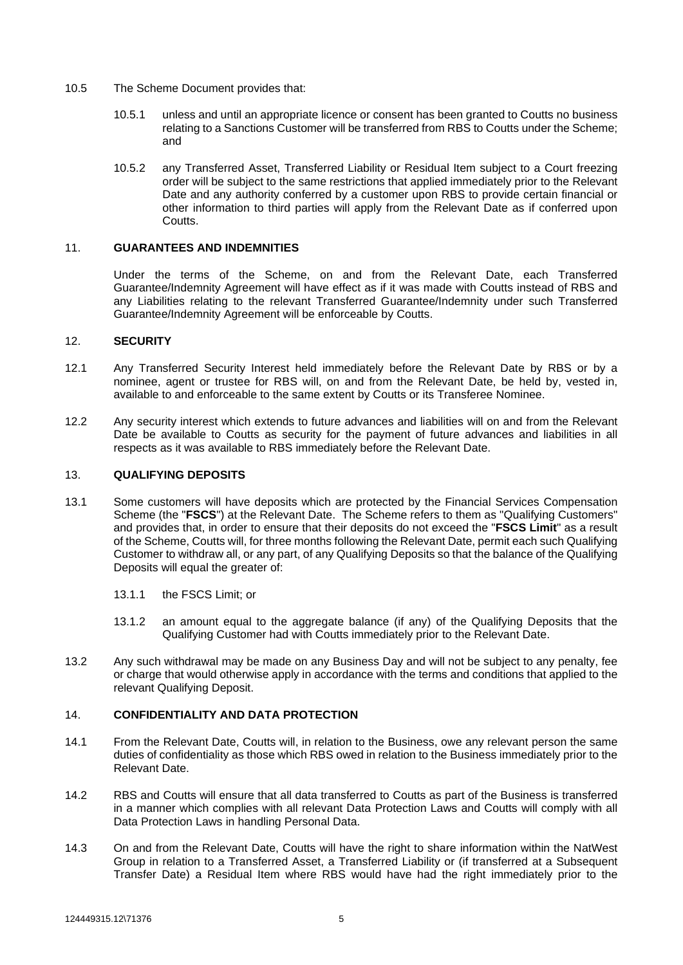- <span id="page-4-0"></span>10.5 The Scheme Document provides that:
	- 10.5.1 unless and until an appropriate licence or consent has been granted to Coutts no business relating to a Sanctions Customer will be transferred from RBS to Coutts under the Scheme; and
	- 10.5.2 any Transferred Asset, Transferred Liability or Residual Item subject to a Court freezing order will be subject to the same restrictions that applied immediately prior to the Relevant Date and any authority conferred by a customer upon RBS to provide certain financial or other information to third parties will apply from the Relevant Date as if conferred upon Coutts.

### 11. **GUARANTEES AND INDEMNITIES**

Under the terms of the Scheme, on and from the Relevant Date, each Transferred Guarantee/Indemnity Agreement will have effect as if it was made with Coutts instead of RBS and any Liabilities relating to the relevant Transferred Guarantee/Indemnity under such Transferred Guarantee/Indemnity Agreement will be enforceable by Coutts.

### 12. **SECURITY**

- 12.1 Any Transferred Security Interest held immediately before the Relevant Date by RBS or by a nominee, agent or trustee for RBS will, on and from the Relevant Date, be held by, vested in, available to and enforceable to the same extent by Coutts or its Transferee Nominee.
- 12.2 Any security interest which extends to future advances and liabilities will on and from the Relevant Date be available to Coutts as security for the payment of future advances and liabilities in all respects as it was available to RBS immediately before the Relevant Date.

### 13. **QUALIFYING DEPOSITS**

- 13.1 Some customers will have deposits which are protected by the Financial Services Compensation Scheme (the "**FSCS**") at the Relevant Date. The Scheme refers to them as "Qualifying Customers" and provides that, in order to ensure that their deposits do not exceed the "**FSCS Limit**" as a result of the Scheme, Coutts will, for three months following the Relevant Date, permit each such Qualifying Customer to withdraw all, or any part, of any Qualifying Deposits so that the balance of the Qualifying Deposits will equal the greater of:
	- 13.1.1 the FSCS Limit; or
	- 13.1.2 an amount equal to the aggregate balance (if any) of the Qualifying Deposits that the Qualifying Customer had with Coutts immediately prior to the Relevant Date.
- 13.2 Any such withdrawal may be made on any Business Day and will not be subject to any penalty, fee or charge that would otherwise apply in accordance with the terms and conditions that applied to the relevant Qualifying Deposit.

# 14. **CONFIDENTIALITY AND DATA PROTECTION**

- 14.1 From the Relevant Date, Coutts will, in relation to the Business, owe any relevant person the same duties of confidentiality as those which RBS owed in relation to the Business immediately prior to the Relevant Date.
- 14.2 RBS and Coutts will ensure that all data transferred to Coutts as part of the Business is transferred in a manner which complies with all relevant Data Protection Laws and Coutts will comply with all Data Protection Laws in handling Personal Data.
- 14.3 On and from the Relevant Date, Coutts will have the right to share information within the NatWest Group in relation to a Transferred Asset, a Transferred Liability or (if transferred at a Subsequent Transfer Date) a Residual Item where RBS would have had the right immediately prior to the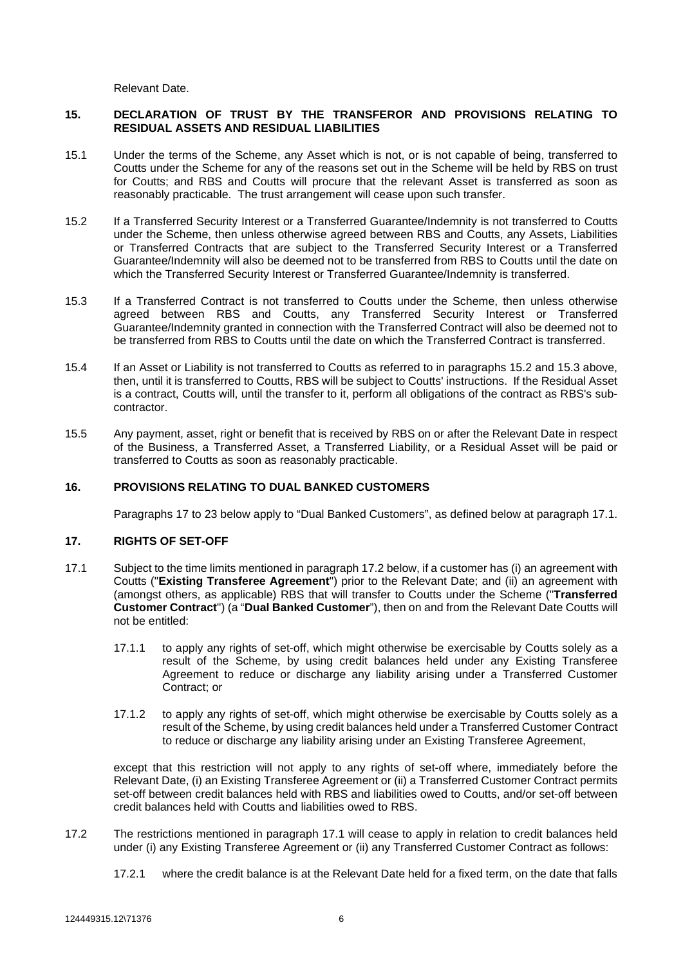Relevant Date.

### **15. DECLARATION OF TRUST BY THE TRANSFEROR AND PROVISIONS RELATING TO RESIDUAL ASSETS AND RESIDUAL LIABILITIES**

- 15.1 Under the terms of the Scheme, any Asset which is not, or is not capable of being, transferred to Coutts under the Scheme for any of the reasons set out in the Scheme will be held by RBS on trust for Coutts; and RBS and Coutts will procure that the relevant Asset is transferred as soon as reasonably practicable. The trust arrangement will cease upon such transfer.
- <span id="page-5-0"></span>15.2 If a Transferred Security Interest or a Transferred Guarantee/Indemnity is not transferred to Coutts under the Scheme, then unless otherwise agreed between RBS and Coutts, any Assets, Liabilities or Transferred Contracts that are subject to the Transferred Security Interest or a Transferred Guarantee/Indemnity will also be deemed not to be transferred from RBS to Coutts until the date on which the Transferred Security Interest or Transferred Guarantee/Indemnity is transferred.
- <span id="page-5-1"></span>15.3 If a Transferred Contract is not transferred to Coutts under the Scheme, then unless otherwise agreed between RBS and Coutts, any Transferred Security Interest or Transferred Guarantee/Indemnity granted in connection with the Transferred Contract will also be deemed not to be transferred from RBS to Coutts until the date on which the Transferred Contract is transferred.
- 15.4 If an Asset or Liability is not transferred to Coutts as referred to in paragraphs [15.2](#page-5-0) and [15.3](#page-5-1) above, then, until it is transferred to Coutts, RBS will be subject to Coutts' instructions. If the Residual Asset is a contract, Coutts will, until the transfer to it, perform all obligations of the contract as RBS's subcontractor.
- 15.5 Any payment, asset, right or benefit that is received by RBS on or after the Relevant Date in respect of the Business, a Transferred Asset, a Transferred Liability, or a Residual Asset will be paid or transferred to Coutts as soon as reasonably practicable.

### **16. PROVISIONS RELATING TO DUAL BANKED CUSTOMERS**

<span id="page-5-3"></span><span id="page-5-2"></span>Paragraphs [17](#page-5-2) to [23](#page-7-0) below apply to "Dual Banked Customers", as defined below at paragraph [17.1.](#page-5-3)

# **17. RIGHTS OF SET-OFF**

- 17.1 Subject to the time limits mentioned in paragraph [17.2](#page-5-4) below, if a customer has (i) an agreement with Coutts ("**Existing Transferee Agreement**") prior to the Relevant Date; and (ii) an agreement with (amongst others, as applicable) RBS that will transfer to Coutts under the Scheme ("**Transferred Customer Contract**") (a "**Dual Banked Customer**"), then on and from the Relevant Date Coutts will not be entitled:
	- 17.1.1 to apply any rights of set-off, which might otherwise be exercisable by Coutts solely as a result of the Scheme, by using credit balances held under any Existing Transferee Agreement to reduce or discharge any liability arising under a Transferred Customer Contract; or
	- 17.1.2 to apply any rights of set-off, which might otherwise be exercisable by Coutts solely as a result of the Scheme, by using credit balances held under a Transferred Customer Contract to reduce or discharge any liability arising under an Existing Transferee Agreement,

except that this restriction will not apply to any rights of set-off where, immediately before the Relevant Date, (i) an Existing Transferee Agreement or (ii) a Transferred Customer Contract permits set-off between credit balances held with RBS and liabilities owed to Coutts, and/or set-off between credit balances held with Coutts and liabilities owed to RBS.

- <span id="page-5-4"></span>17.2 The restrictions mentioned in paragraph [17.1](#page-5-3) will cease to apply in relation to credit balances held under (i) any Existing Transferee Agreement or (ii) any Transferred Customer Contract as follows:
	- 17.2.1 where the credit balance is at the Relevant Date held for a fixed term, on the date that falls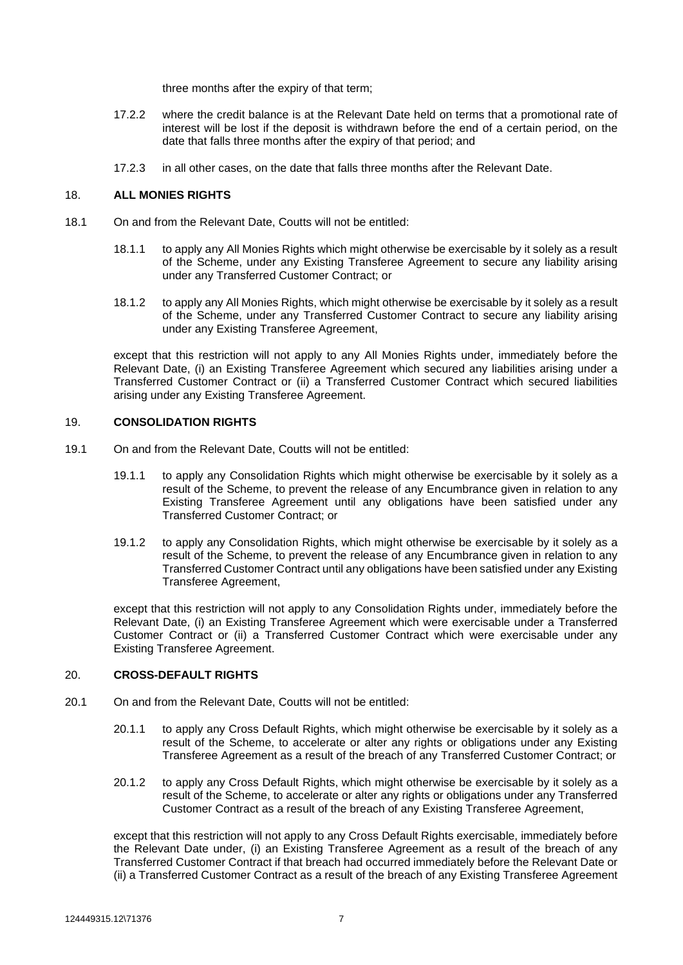three months after the expiry of that term;

- 17.2.2 where the credit balance is at the Relevant Date held on terms that a promotional rate of interest will be lost if the deposit is withdrawn before the end of a certain period, on the date that falls three months after the expiry of that period; and
- 17.2.3 in all other cases, on the date that falls three months after the Relevant Date.

## 18. **ALL MONIES RIGHTS**

- 18.1 On and from the Relevant Date, Coutts will not be entitled:
	- 18.1.1 to apply any All Monies Rights which might otherwise be exercisable by it solely as a result of the Scheme, under any Existing Transferee Agreement to secure any liability arising under any Transferred Customer Contract; or
	- 18.1.2 to apply any All Monies Rights, which might otherwise be exercisable by it solely as a result of the Scheme, under any Transferred Customer Contract to secure any liability arising under any Existing Transferee Agreement,

except that this restriction will not apply to any All Monies Rights under, immediately before the Relevant Date, (i) an Existing Transferee Agreement which secured any liabilities arising under a Transferred Customer Contract or (ii) a Transferred Customer Contract which secured liabilities arising under any Existing Transferee Agreement.

### 19. **CONSOLIDATION RIGHTS**

- 19.1 On and from the Relevant Date, Coutts will not be entitled:
	- 19.1.1 to apply any Consolidation Rights which might otherwise be exercisable by it solely as a result of the Scheme, to prevent the release of any Encumbrance given in relation to any Existing Transferee Agreement until any obligations have been satisfied under any Transferred Customer Contract; or
	- 19.1.2 to apply any Consolidation Rights, which might otherwise be exercisable by it solely as a result of the Scheme, to prevent the release of any Encumbrance given in relation to any Transferred Customer Contract until any obligations have been satisfied under any Existing Transferee Agreement,

except that this restriction will not apply to any Consolidation Rights under, immediately before the Relevant Date, (i) an Existing Transferee Agreement which were exercisable under a Transferred Customer Contract or (ii) a Transferred Customer Contract which were exercisable under any Existing Transferee Agreement.

# 20. **CROSS-DEFAULT RIGHTS**

- 20.1 On and from the Relevant Date, Coutts will not be entitled:
	- 20.1.1 to apply any Cross Default Rights, which might otherwise be exercisable by it solely as a result of the Scheme, to accelerate or alter any rights or obligations under any Existing Transferee Agreement as a result of the breach of any Transferred Customer Contract; or
	- 20.1.2 to apply any Cross Default Rights, which might otherwise be exercisable by it solely as a result of the Scheme, to accelerate or alter any rights or obligations under any Transferred Customer Contract as a result of the breach of any Existing Transferee Agreement,

except that this restriction will not apply to any Cross Default Rights exercisable, immediately before the Relevant Date under, (i) an Existing Transferee Agreement as a result of the breach of any Transferred Customer Contract if that breach had occurred immediately before the Relevant Date or (ii) a Transferred Customer Contract as a result of the breach of any Existing Transferee Agreement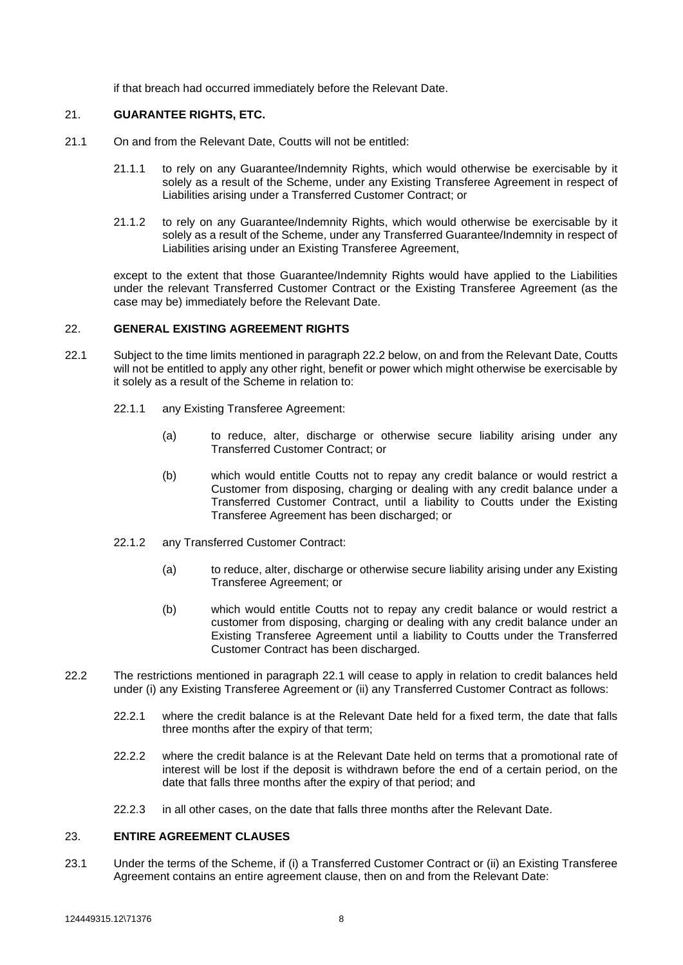if that breach had occurred immediately before the Relevant Date.

# 21. **GUARANTEE RIGHTS, ETC.**

- 21.1 On and from the Relevant Date, Coutts will not be entitled:
	- 21.1.1 to rely on any Guarantee/Indemnity Rights, which would otherwise be exercisable by it solely as a result of the Scheme, under any Existing Transferee Agreement in respect of Liabilities arising under a Transferred Customer Contract; or
	- 21.1.2 to rely on any Guarantee/Indemnity Rights, which would otherwise be exercisable by it solely as a result of the Scheme, under any Transferred Guarantee/Indemnity in respect of Liabilities arising under an Existing Transferee Agreement,

except to the extent that those Guarantee/Indemnity Rights would have applied to the Liabilities under the relevant Transferred Customer Contract or the Existing Transferee Agreement (as the case may be) immediately before the Relevant Date.

#### 22. **GENERAL EXISTING AGREEMENT RIGHTS**

- <span id="page-7-2"></span>22.1 Subject to the time limits mentioned in paragraph [22.2](#page-7-1) below, on and from the Relevant Date, Coutts will not be entitled to apply any other right, benefit or power which might otherwise be exercisable by it solely as a result of the Scheme in relation to:
	- 22.1.1 any Existing Transferee Agreement:
		- (a) to reduce, alter, discharge or otherwise secure liability arising under any Transferred Customer Contract; or
		- (b) which would entitle Coutts not to repay any credit balance or would restrict a Customer from disposing, charging or dealing with any credit balance under a Transferred Customer Contract, until a liability to Coutts under the Existing Transferee Agreement has been discharged; or
	- 22.1.2 any Transferred Customer Contract:
		- (a) to reduce, alter, discharge or otherwise secure liability arising under any Existing Transferee Agreement; or
		- (b) which would entitle Coutts not to repay any credit balance or would restrict a customer from disposing, charging or dealing with any credit balance under an Existing Transferee Agreement until a liability to Coutts under the Transferred Customer Contract has been discharged.
- <span id="page-7-1"></span>22.2 The restrictions mentioned in paragraph [22.1](#page-7-2) will cease to apply in relation to credit balances held under (i) any Existing Transferee Agreement or (ii) any Transferred Customer Contract as follows:
	- 22.2.1 where the credit balance is at the Relevant Date held for a fixed term, the date that falls three months after the expiry of that term;
	- 22.2.2 where the credit balance is at the Relevant Date held on terms that a promotional rate of interest will be lost if the deposit is withdrawn before the end of a certain period, on the date that falls three months after the expiry of that period; and
	- 22.2.3 in all other cases, on the date that falls three months after the Relevant Date.

### <span id="page-7-0"></span>23. **ENTIRE AGREEMENT CLAUSES**

23.1 Under the terms of the Scheme, if (i) a Transferred Customer Contract or (ii) an Existing Transferee Agreement contains an entire agreement clause, then on and from the Relevant Date: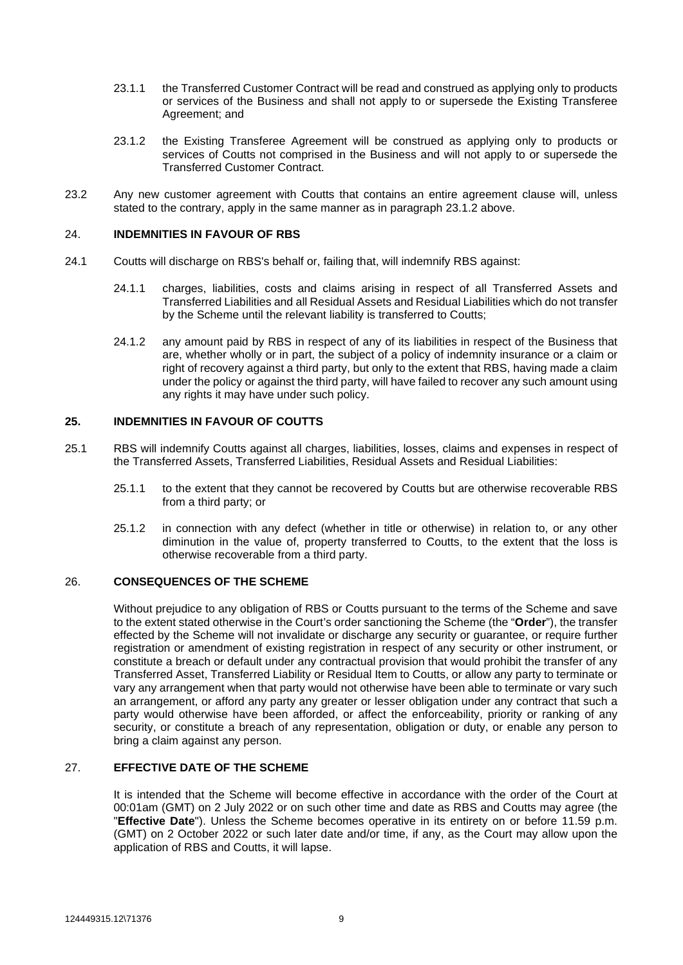- 23.1.1 the Transferred Customer Contract will be read and construed as applying only to products or services of the Business and shall not apply to or supersede the Existing Transferee Agreement; and
- <span id="page-8-0"></span>23.1.2 the Existing Transferee Agreement will be construed as applying only to products or services of Coutts not comprised in the Business and will not apply to or supersede the Transferred Customer Contract.
- 23.2 Any new customer agreement with Coutts that contains an entire agreement clause will, unless stated to the contrary, apply in the same manner as in paragraph [23.1.2](#page-8-0) above.

### 24. **INDEMNITIES IN FAVOUR OF RBS**

- 24.1 Coutts will discharge on RBS's behalf or, failing that, will indemnify RBS against:
	- 24.1.1 charges, liabilities, costs and claims arising in respect of all Transferred Assets and Transferred Liabilities and all Residual Assets and Residual Liabilities which do not transfer by the Scheme until the relevant liability is transferred to Coutts;
	- 24.1.2 any amount paid by RBS in respect of any of its liabilities in respect of the Business that are, whether wholly or in part, the subject of a policy of indemnity insurance or a claim or right of recovery against a third party, but only to the extent that RBS, having made a claim under the policy or against the third party, will have failed to recover any such amount using any rights it may have under such policy.

### **25. INDEMNITIES IN FAVOUR OF COUTTS**

- 25.1 RBS will indemnify Coutts against all charges, liabilities, losses, claims and expenses in respect of the Transferred Assets, Transferred Liabilities, Residual Assets and Residual Liabilities:
	- 25.1.1 to the extent that they cannot be recovered by Coutts but are otherwise recoverable RBS from a third party; or
	- 25.1.2 in connection with any defect (whether in title or otherwise) in relation to, or any other diminution in the value of, property transferred to Coutts, to the extent that the loss is otherwise recoverable from a third party.

# 26. **CONSEQUENCES OF THE SCHEME**

Without prejudice to any obligation of RBS or Coutts pursuant to the terms of the Scheme and save to the extent stated otherwise in the Court's order sanctioning the Scheme (the "**Order**"), the transfer effected by the Scheme will not invalidate or discharge any security or guarantee, or require further registration or amendment of existing registration in respect of any security or other instrument, or constitute a breach or default under any contractual provision that would prohibit the transfer of any Transferred Asset, Transferred Liability or Residual Item to Coutts, or allow any party to terminate or vary any arrangement when that party would not otherwise have been able to terminate or vary such an arrangement, or afford any party any greater or lesser obligation under any contract that such a party would otherwise have been afforded, or affect the enforceability, priority or ranking of any security, or constitute a breach of any representation, obligation or duty, or enable any person to bring a claim against any person.

# 27. **EFFECTIVE DATE OF THE SCHEME**

It is intended that the Scheme will become effective in accordance with the order of the Court at 00:01am (GMT) on 2 July 2022 or on such other time and date as RBS and Coutts may agree (the "**Effective Date**"). Unless the Scheme becomes operative in its entirety on or before 11.59 p.m. (GMT) on 2 October 2022 or such later date and/or time, if any, as the Court may allow upon the application of RBS and Coutts, it will lapse.